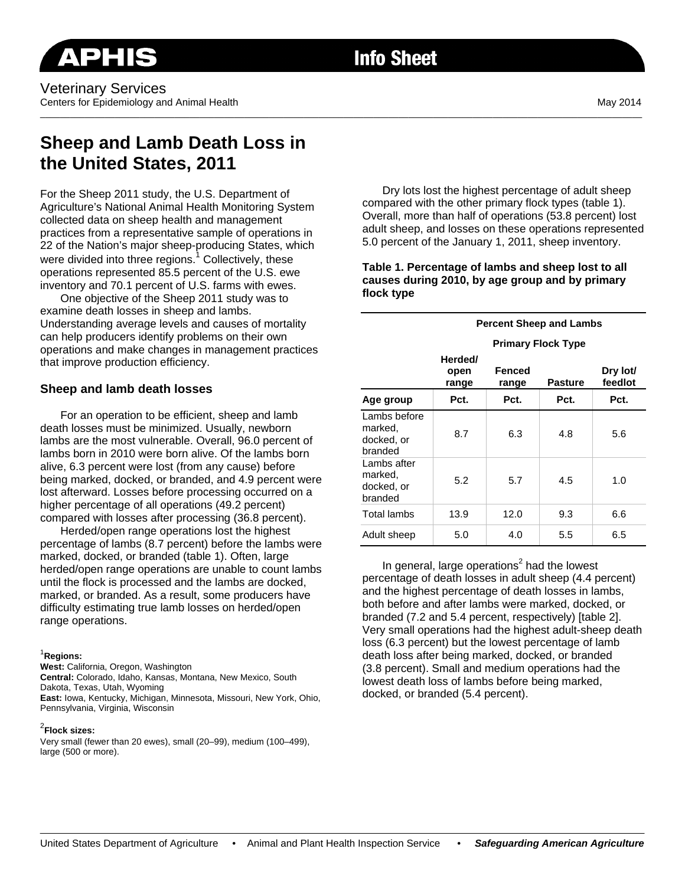# **Info Sheet**

\_\_\_\_\_\_\_\_\_\_\_\_\_\_\_\_\_\_\_\_\_\_\_\_\_\_\_\_\_\_\_\_\_\_\_\_\_\_\_\_\_\_\_\_\_\_\_\_\_\_\_\_\_\_\_\_\_\_\_\_\_\_\_\_\_\_\_\_\_\_\_\_\_\_\_\_\_\_\_\_\_\_\_\_\_\_\_\_\_\_\_\_\_\_\_\_\_\_\_\_\_\_\_\_\_\_\_\_\_\_\_\_\_\_\_\_\_\_\_\_\_

# **Sheep and Lamb Death Loss in the United States, 2011**

For the Sheep 2011 study, the U.S. Department of Agriculture's National Animal Health Monitoring System collected data on sheep health and management practices from a representative sample of operations in 22 of the Nation's major sheep-producing States, which were divided into three regions.<sup>1</sup> Collectively, these operations represented 85.5 percent of the U.S. ewe inventory and 70.1 percent of U.S. farms with ewes.

One objective of the Sheep 2011 study was to examine death losses in sheep and lambs. Understanding average levels and causes of mortality can help producers identify problems on their own operations and make changes in management practices that improve production efficiency.

# **Sheep and lamb death losses**

For an operation to be efficient, sheep and lamb death losses must be minimized. Usually, newborn lambs are the most vulnerable. Overall, 96.0 percent of lambs born in 2010 were born alive. Of the lambs born alive, 6.3 percent were lost (from any cause) before being marked, docked, or branded, and 4.9 percent were lost afterward. Losses before processing occurred on a higher percentage of all operations (49.2 percent) compared with losses after processing (36.8 percent).

Herded/open range operations lost the highest percentage of lambs (8.7 percent) before the lambs were marked, docked, or branded (table 1). Often, large herded/open range operations are unable to count lambs until the flock is processed and the lambs are docked, marked, or branded. As a result, some producers have difficulty estimating true lamb losses on herded/open range operations.

#### 1 **Regions:**

**West:** California, Oregon, Washington **Central:** Colorado, Idaho, Kansas, Montana, New Mexico, South Dakota, Texas, Utah, Wyoming **East:** Iowa, Kentucky, Michigan, Minnesota, Missouri, New York, Ohio, Pennsylvania, Virginia, Wisconsin

#### 2 **Flock sizes:**

Very small (fewer than 20 ewes), small (20–99), medium (100–499), large (500 or more).

Dry lots lost the highest percentage of adult sheep compared with the other primary flock types (table 1). Overall, more than half of operations (53.8 percent) lost adult sheep, and losses on these operations represented 5.0 percent of the January 1, 2011, sheep inventory.

#### **Table 1. Percentage of lambs and sheep lost to all causes during 2010, by age group and by primary flock type**

|                                                  | <b>Percent Sheep and Lambs</b> |                        |                |                     |  |  |
|--------------------------------------------------|--------------------------------|------------------------|----------------|---------------------|--|--|
|                                                  | <b>Primary Flock Type</b>      |                        |                |                     |  |  |
|                                                  | Herded/<br>open<br>range       | <b>Fenced</b><br>range | <b>Pasture</b> | Dry lot/<br>feedlot |  |  |
| Age group                                        | Pct.                           | Pct.                   | Pct.           | Pct.                |  |  |
| Lambs before<br>marked.<br>docked, or<br>branded | 8.7                            | 6.3                    | 4.8            | 5.6                 |  |  |
| Lambs after<br>marked.<br>docked, or<br>branded  | 5.2                            | 5.7                    | 4.5            | 1.0                 |  |  |
| Total lambs                                      | 13.9                           | 12.0                   | 9.3            | 6.6                 |  |  |
| Adult sheep                                      | 5.0                            | 4.0                    | 5.5            | 6.5                 |  |  |

In general, large operations<sup>2</sup> had the lowest percentage of death losses in adult sheep (4.4 percent) and the highest percentage of death losses in lambs, both before and after lambs were marked, docked, or branded (7.2 and 5.4 percent, respectively) [table 2]. Very small operations had the highest adult-sheep death loss (6.3 percent) but the lowest percentage of lamb death loss after being marked, docked, or branded (3.8 percent). Small and medium operations had the lowest death loss of lambs before being marked, docked, or branded (5.4 percent).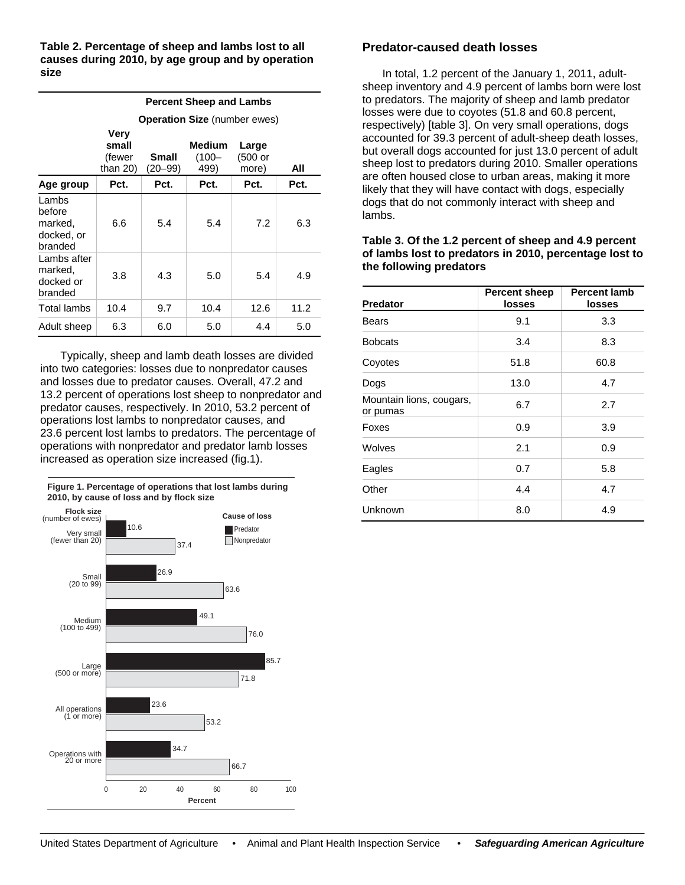**Table 2. Percentage of sheep and lambs lost to all causes during 2010, by age group and by operation size** 

|                                                     | <b>Percent Sheep and Lambs</b>         |                  |                         |                           |      |  |  |
|-----------------------------------------------------|----------------------------------------|------------------|-------------------------|---------------------------|------|--|--|
|                                                     | <b>Operation Size (number ewes)</b>    |                  |                         |                           |      |  |  |
|                                                     | Verv<br>small<br>(fewer<br>than $20$ ) | Small<br>(20–99) | Medium<br>(100–<br>499) | Large<br>(500 or<br>more) | All  |  |  |
| Age group                                           | Pct.                                   | Pct.             | Pct.                    | Pct.                      | Pct. |  |  |
| Lambs<br>before<br>marked,<br>docked, or<br>branded | 6.6                                    | 5.4              | 5.4                     | 7.2                       | 6.3  |  |  |
| Lambs after<br>marked,<br>docked or<br>branded      | 3.8                                    | 4.3              | 5.0                     | 5.4                       | 4.9  |  |  |
| Total lambs                                         | 10.4                                   | 9.7              | 10.4                    | 12.6                      | 11.2 |  |  |
| Adult sheep                                         | 6.3                                    | 6.0              | 5.0                     | 4.4                       | 5.0  |  |  |

Typically, sheep and lamb death losses are divided into two categories: losses due to nonpredator causes and losses due to predator causes. Overall, 47.2 and 13.2 percent of operations lost sheep to nonpredator and predator causes, respectively. In 2010, 53.2 percent of operations lost lambs to nonpredator causes, and 23.6 percent lost lambs to predators. The percentage of operations with nonpredator and predator lamb losses increased as operation size increased (fig.1).



## **Predator-caused death losses**

In total, 1.2 percent of the January 1, 2011, adultsheep inventory and 4.9 percent of lambs born were lost to predators. The majority of sheep and lamb predator losses were due to coyotes (51.8 and 60.8 percent, respectively) [table 3]. On very small operations, dogs accounted for 39.3 percent of adult-sheep death losses, but overall dogs accounted for just 13.0 percent of adult sheep lost to predators during 2010. Smaller operations are often housed close to urban areas, making it more likely that they will have contact with dogs, especially dogs that do not commonly interact with sheep and lambs.

#### **Table 3. Of the 1.2 percent of sheep and 4.9 percent of lambs lost to predators in 2010, percentage lost to the following predators**

| <b>Predator</b>                      | <b>Percent sheep</b><br><b>losses</b> | <b>Percent lamb</b><br>losses |
|--------------------------------------|---------------------------------------|-------------------------------|
| Bears                                | 9.1                                   | 3.3                           |
| <b>Bobcats</b>                       | 3.4                                   | 8.3                           |
| Coyotes                              | 51.8                                  | 60.8                          |
| Dogs                                 | 13.0                                  | 4.7                           |
| Mountain lions, cougars,<br>or pumas | 6.7                                   | 2.7                           |
| Foxes                                | 0.9                                   | 3.9                           |
| Wolves                               | 2.1                                   | 0.9                           |
| Eagles                               | 0.7                                   | 5.8                           |
| Other                                | 4.4                                   | 4.7                           |
| Unknown                              | 8.0                                   | 4.9                           |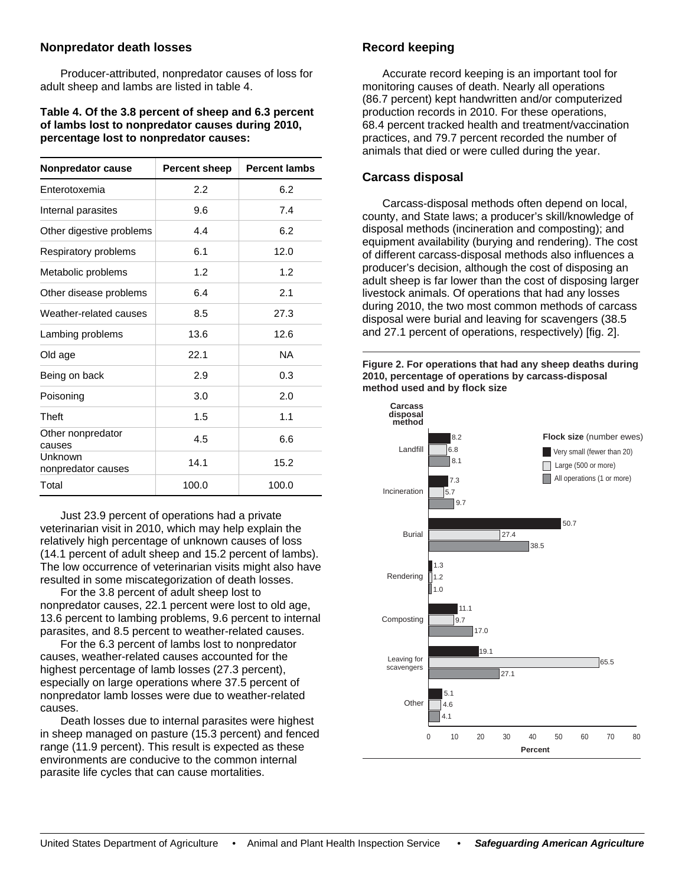# **Nonpredator death losses**

Producer-attributed, nonpredator causes of loss for adult sheep and lambs are listed in table 4.

#### **Table 4. Of the 3.8 percent of sheep and 6.3 percent of lambs lost to nonpredator causes during 2010, percentage lost to nonpredator causes:**

| <b>Nonpredator cause</b>      | Percent sheep | <b>Percent lambs</b> |  |
|-------------------------------|---------------|----------------------|--|
| Enterotoxemia                 | 2.2           | 6.2                  |  |
| Internal parasites            | 9.6           | 7.4                  |  |
| Other digestive problems      | 4.4           | 6.2                  |  |
| Respiratory problems          | 6.1           | 12.0                 |  |
| Metabolic problems            | 1.2           | 1.2                  |  |
| Other disease problems        | 6.4           | 2.1                  |  |
| Weather-related causes        | 8.5           | 27.3                 |  |
| Lambing problems              | 13.6          | 12.6                 |  |
| Old age                       | 22.1          | <b>NA</b>            |  |
| Being on back                 | 2.9           | 0.3                  |  |
| Poisoning                     | 3.0           | 2.0                  |  |
| <b>Theft</b>                  | 1.5           | 1.1                  |  |
| Other nonpredator<br>causes   | 4.5           | 6.6                  |  |
| Unknown<br>nonpredator causes | 14.1          | 15.2                 |  |
| Total                         | 100.0         | 100.0                |  |

Just 23.9 percent of operations had a private veterinarian visit in 2010, which may help explain the relatively high percentage of unknown causes of loss (14.1 percent of adult sheep and 15.2 percent of lambs). The low occurrence of veterinarian visits might also have resulted in some miscategorization of death losses.

For the 3.8 percent of adult sheep lost to nonpredator causes, 22.1 percent were lost to old age, 13.6 percent to lambing problems, 9.6 percent to internal parasites, and 8.5 percent to weather-related causes.

For the 6.3 percent of lambs lost to nonpredator causes, weather-related causes accounted for the highest percentage of lamb losses (27.3 percent), especially on large operations where 37.5 percent of nonpredator lamb losses were due to weather-related causes.

Death losses due to internal parasites were highest in sheep managed on pasture (15.3 percent) and fenced range (11.9 percent). This result is expected as these environments are conducive to the common internal parasite life cycles that can cause mortalities.

## **Record keeping**

Accurate record keeping is an important tool for monitoring causes of death. Nearly all operations (86.7 percent) kept handwritten and/or computerized production records in 2010. For these operations, 68.4 percent tracked health and treatment/vaccination practices, and 79.7 percent recorded the number of animals that died or were culled during the year.

# **Carcass disposal**

Carcass-disposal methods often depend on local, county, and State laws; a producer's skill/knowledge of disposal methods (incineration and composting); and equipment availability (burying and rendering). The cost of different carcass-disposal methods also influences a producer's decision, although the cost of disposing an adult sheep is far lower than the cost of disposing larger livestock animals. Of operations that had any losses during 2010, the two most common methods of carcass disposal were burial and leaving for scavengers (38.5 and 27.1 percent of operations, respectively) [fig. 2].

**Figure 2. For operations that had any sheep deaths during 2010, percentage of operations by carcass-disposal method used and by flock size**